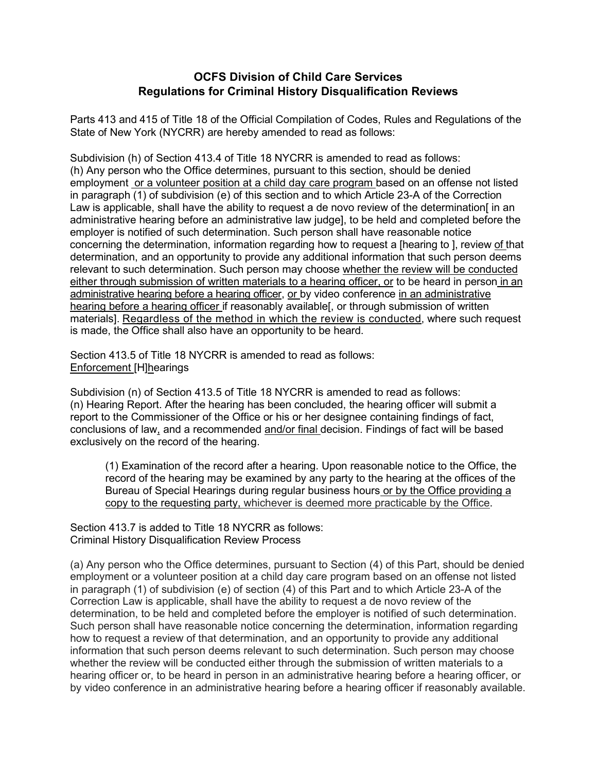## **OCFS Division of Child Care Services Regulations for Criminal History Disqualification Reviews**

Parts 413 and 415 of Title 18 of the Official Compilation of Codes, Rules and Regulations of the State of New York (NYCRR) are hereby amended to read as follows:

Subdivision (h) of Section 413.4 of Title 18 NYCRR is amended to read as follows: (h) Any person who the Office determines, pursuant to this section, should be denied employment or a volunteer position at a child day care program based on an offense not listed in paragraph (1) of subdivision (e) of this section and to which Article 23-A of the Correction Law is applicable, shall have the ability to request a de novo review of the determination [in an administrative hearing before an administrative law judge], to be held and completed before the employer is notified of such determination. Such person shall have reasonable notice concerning the determination, information regarding how to request a [hearing to ], review of that determination, and an opportunity to provide any additional information that such person deems relevant to such determination. Such person may choose whether the review will be conducted either through submission of written materials to a hearing officer, or to be heard in person in an administrative hearing before a hearing officer, or by video conference in an administrative hearing before a hearing officer if reasonably available[, or through submission of written materials]. Regardless of the method in which the review is conducted, where such request is made, the Office shall also have an opportunity to be heard.

Section 413.5 of Title 18 NYCRR is amended to read as follows: Enforcement [H]hearings

Subdivision (n) of Section 413.5 of Title 18 NYCRR is amended to read as follows: (n) Hearing Report. After the hearing has been concluded, the hearing officer will submit a report to the Commissioner of the Office or his or her designee containing findings of fact, conclusions of law, and a recommended and/or final decision. Findings of fact will be based exclusively on the record of the hearing.

(1) Examination of the record after a hearing. Upon reasonable notice to the Office, the record of the hearing may be examined by any party to the hearing at the offices of the Bureau of Special Hearings during regular business hours or by the Office providing a copy to the requesting party, whichever is deemed more practicable by the Office.

Section 413.7 is added to Title 18 NYCRR as follows: Criminal History Disqualification Review Process

(a) Any person who the Office determines, pursuant to Section (4) of this Part, should be denied employment or a volunteer position at a child day care program based on an offense not listed in paragraph (1) of subdivision (e) of section (4) of this Part and to which Article 23-A of the Correction Law is applicable, shall have the ability to request a de novo review of the determination, to be held and completed before the employer is notified of such determination. Such person shall have reasonable notice concerning the determination, information regarding how to request a review of that determination, and an opportunity to provide any additional information that such person deems relevant to such determination. Such person may choose whether the review will be conducted either through the submission of written materials to a hearing officer or, to be heard in person in an administrative hearing before a hearing officer, or by video conference in an administrative hearing before a hearing officer if reasonably available.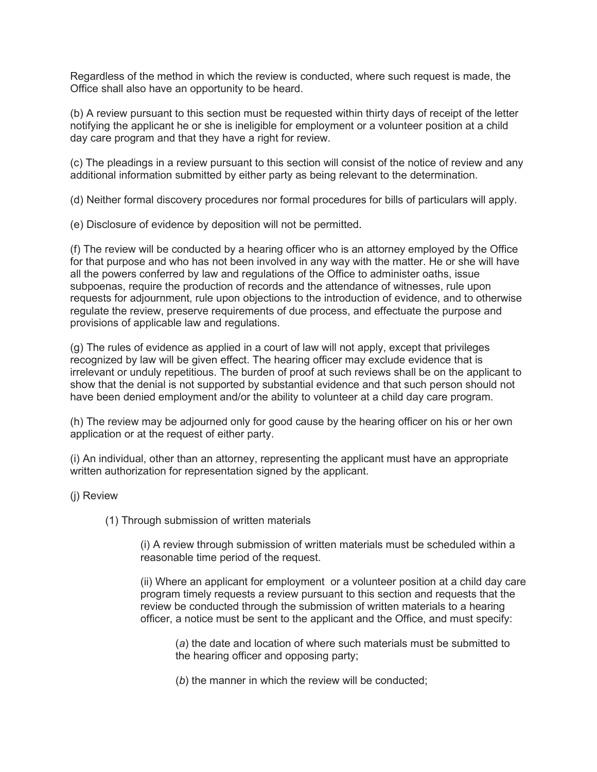Regardless of the method in which the review is conducted, where such request is made, the Office shall also have an opportunity to be heard.

(b) A review pursuant to this section must be requested within thirty days of receipt of the letter notifying the applicant he or she is ineligible for employment or a volunteer position at a child day care program and that they have a right for review.

(c) The pleadings in a review pursuant to this section will consist of the notice of review and any additional information submitted by either party as being relevant to the determination.

(d) Neither formal discovery procedures nor formal procedures for bills of particulars will apply.

(e) Disclosure of evidence by deposition will not be permitted.

(f) The review will be conducted by a hearing officer who is an attorney employed by the Office for that purpose and who has not been involved in any way with the matter. He or she will have all the powers conferred by law and regulations of the Office to administer oaths, issue subpoenas, require the production of records and the attendance of witnesses, rule upon requests for adjournment, rule upon objections to the introduction of evidence, and to otherwise regulate the review, preserve requirements of due process, and effectuate the purpose and provisions of applicable law and regulations.

(g) The rules of evidence as applied in a court of law will not apply, except that privileges recognized by law will be given effect. The hearing officer may exclude evidence that is irrelevant or unduly repetitious. The burden of proof at such reviews shall be on the applicant to show that the denial is not supported by substantial evidence and that such person should not have been denied employment and/or the ability to volunteer at a child day care program.

(h) The review may be adjourned only for good cause by the hearing officer on his or her own application or at the request of either party.

(i) An individual, other than an attorney, representing the applicant must have an appropriate written authorization for representation signed by the applicant.

(j) Review

(1) Through submission of written materials

(i) A review through submission of written materials must be scheduled within a reasonable time period of the request.

(ii) Where an applicant for employment or a volunteer position at a child day care program timely requests a review pursuant to this section and requests that the review be conducted through the submission of written materials to a hearing officer, a notice must be sent to the applicant and the Office, and must specify:

(*a*) the date and location of where such materials must be submitted to the hearing officer and opposing party;

(*b*) the manner in which the review will be conducted;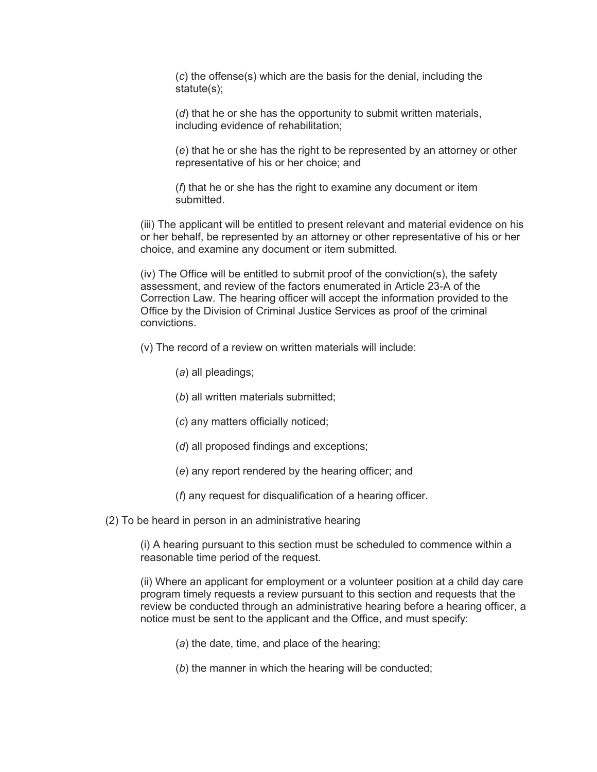(*c*) the offense(s) which are the basis for the denial, including the statute(s);

(*d*) that he or she has the opportunity to submit written materials, including evidence of rehabilitation;

(*e*) that he or she has the right to be represented by an attorney or other representative of his or her choice; and

(*f*) that he or she has the right to examine any document or item submitted.

(iii) The applicant will be entitled to present relevant and material evidence on his or her behalf, be represented by an attorney or other representative of his or her choice, and examine any document or item submitted.

(iv) The Office will be entitled to submit proof of the conviction(s), the safety assessment, and review of the factors enumerated in Article 23-A of the Correction Law. The hearing officer will accept the information provided to the Office by the Division of Criminal Justice Services as proof of the criminal convictions.

(v) The record of a review on written materials will include:

- (*a*) all pleadings;
- (*b*) all written materials submitted;
- (*c*) any matters officially noticed;
- (*d*) all proposed findings and exceptions;
- (*e*) any report rendered by the hearing officer; and
- (*f*) any request for disqualification of a hearing officer.

(2) To be heard in person in an administrative hearing

(i) A hearing pursuant to this section must be scheduled to commence within a reasonable time period of the request.

(ii) Where an applicant for employment or a volunteer position at a child day care program timely requests a review pursuant to this section and requests that the review be conducted through an administrative hearing before a hearing officer, a notice must be sent to the applicant and the Office, and must specify:

- (*a*) the date, time, and place of the hearing;
- (*b*) the manner in which the hearing will be conducted;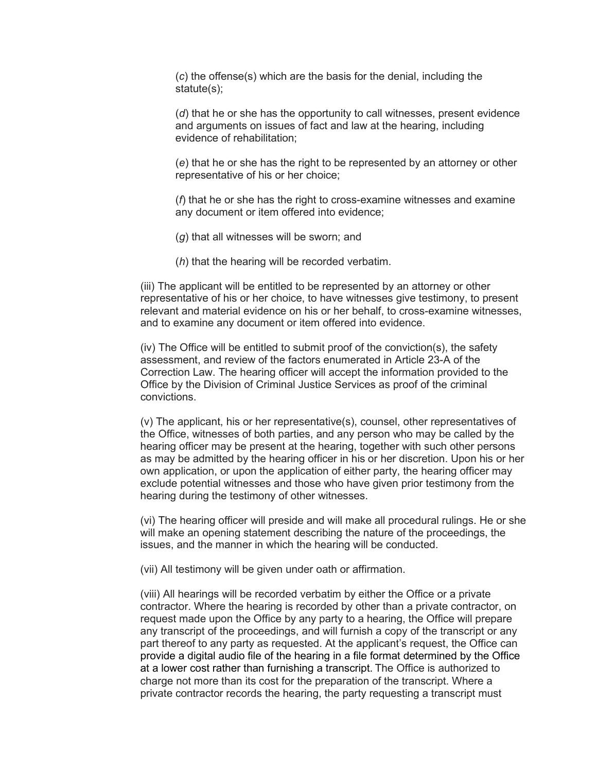(*c*) the offense(s) which are the basis for the denial, including the statute(s);

(*d*) that he or she has the opportunity to call witnesses, present evidence and arguments on issues of fact and law at the hearing, including evidence of rehabilitation;

(*e*) that he or she has the right to be represented by an attorney or other representative of his or her choice;

(*f*) that he or she has the right to cross-examine witnesses and examine any document or item offered into evidence;

- (*g*) that all witnesses will be sworn; and
- (*h*) that the hearing will be recorded verbatim.

(iii) The applicant will be entitled to be represented by an attorney or other representative of his or her choice, to have witnesses give testimony, to present relevant and material evidence on his or her behalf, to cross-examine witnesses, and to examine any document or item offered into evidence.

(iv) The Office will be entitled to submit proof of the conviction(s), the safety assessment, and review of the factors enumerated in Article 23-A of the Correction Law. The hearing officer will accept the information provided to the Office by the Division of Criminal Justice Services as proof of the criminal convictions.

(v) The applicant, his or her representative(s), counsel, other representatives of the Office, witnesses of both parties, and any person who may be called by the hearing officer may be present at the hearing, together with such other persons as may be admitted by the hearing officer in his or her discretion. Upon his or her own application, or upon the application of either party, the hearing officer may exclude potential witnesses and those who have given prior testimony from the hearing during the testimony of other witnesses.

(vi) The hearing officer will preside and will make all procedural rulings. He or she will make an opening statement describing the nature of the proceedings, the issues, and the manner in which the hearing will be conducted.

(vii) All testimony will be given under oath or affirmation.

(viii) All hearings will be recorded verbatim by either the Office or a private contractor. Where the hearing is recorded by other than a private contractor, on request made upon the Office by any party to a hearing, the Office will prepare any transcript of the proceedings, and will furnish a copy of the transcript or any part thereof to any party as requested. At the applicant's request, the Office can provide a digital audio file of the hearing in a file format determined by the Office at a lower cost rather than furnishing a transcript. The Office is authorized to charge not more than its cost for the preparation of the transcript. Where a private contractor records the hearing, the party requesting a transcript must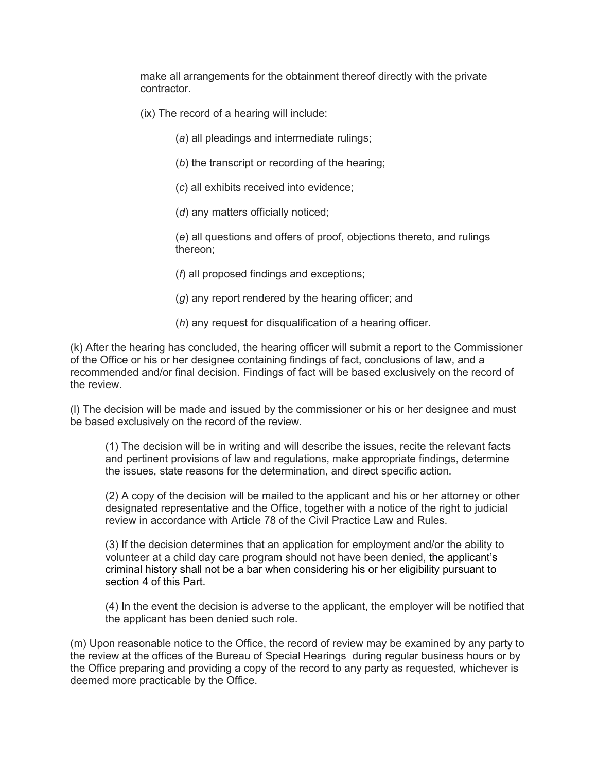make all arrangements for the obtainment thereof directly with the private contractor.

- (ix) The record of a hearing will include:
	- (*a*) all pleadings and intermediate rulings;
	- (*b*) the transcript or recording of the hearing;
	- (*c*) all exhibits received into evidence;
	- (*d*) any matters officially noticed;

(*e*) all questions and offers of proof, objections thereto, and rulings thereon;

(*f*) all proposed findings and exceptions;

- (*g*) any report rendered by the hearing officer; and
- (*h*) any request for disqualification of a hearing officer.

(k) After the hearing has concluded, the hearing officer will submit a report to the Commissioner of the Office or his or her designee containing findings of fact, conclusions of law, and a recommended and/or final decision. Findings of fact will be based exclusively on the record of the review.

(l) The decision will be made and issued by the commissioner or his or her designee and must be based exclusively on the record of the review.

(1) The decision will be in writing and will describe the issues, recite the relevant facts and pertinent provisions of law and regulations, make appropriate findings, determine the issues, state reasons for the determination, and direct specific action.

(2) A copy of the decision will be mailed to the applicant and his or her attorney or other designated representative and the Office, together with a notice of the right to judicial review in accordance with Article 78 of the Civil Practice Law and Rules.

(3) If the decision determines that an application for employment and/or the ability to volunteer at a child day care program should not have been denied, the applicant's criminal history shall not be a bar when considering his or her eligibility pursuant to section 4 of this Part.

(4) In the event the decision is adverse to the applicant, the employer will be notified that the applicant has been denied such role.

(m) Upon reasonable notice to the Office, the record of review may be examined by any party to the review at the offices of the Bureau of Special Hearings during regular business hours or by the Office preparing and providing a copy of the record to any party as requested, whichever is deemed more practicable by the Office.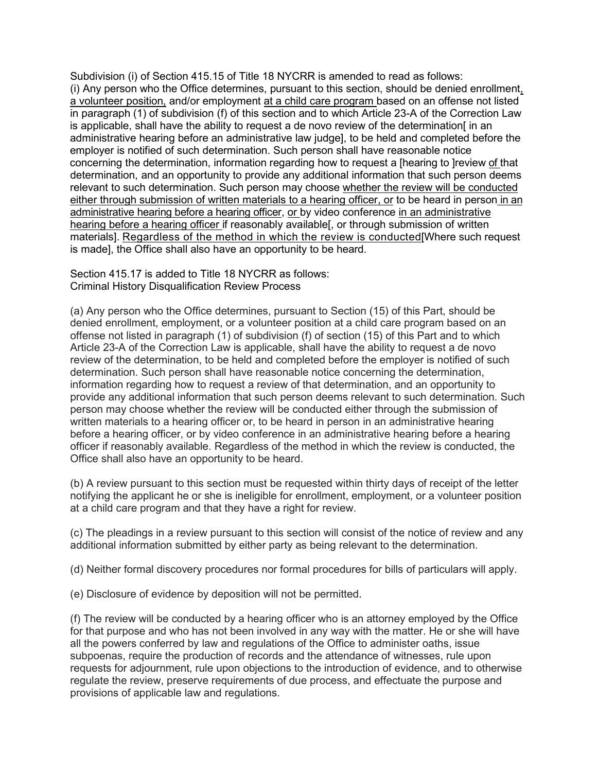Subdivision (i) of Section 415.15 of Title 18 NYCRR is amended to read as follows: (i) Any person who the Office determines, pursuant to this section, should be denied enrollment, a volunteer position, and/or employment at a child care program based on an offense not listed in paragraph (1) of subdivision (f) of this section and to which Article 23-A of the Correction Law is applicable, shall have the ability to request a de novo review of the determination[ in an administrative hearing before an administrative law judge], to be held and completed before the employer is notified of such determination. Such person shall have reasonable notice concerning the determination, information regarding how to request a [hearing to ]review of that determination, and an opportunity to provide any additional information that such person deems relevant to such determination. Such person may choose whether the review will be conducted either through submission of written materials to a hearing officer, or to be heard in person in an administrative hearing before a hearing officer, or by video conference in an administrative hearing before a hearing officer if reasonably available[, or through submission of written materials]. Regardless of the method in which the review is conducted[Where such request is made], the Office shall also have an opportunity to be heard.

Section 415.17 is added to Title 18 NYCRR as follows: Criminal History Disqualification Review Process

(a) Any person who the Office determines, pursuant to Section (15) of this Part, should be denied enrollment, employment, or a volunteer position at a child care program based on an offense not listed in paragraph (1) of subdivision (f) of section (15) of this Part and to which Article 23-A of the Correction Law is applicable, shall have the ability to request a de novo review of the determination, to be held and completed before the employer is notified of such determination. Such person shall have reasonable notice concerning the determination, information regarding how to request a review of that determination, and an opportunity to provide any additional information that such person deems relevant to such determination. Such person may choose whether the review will be conducted either through the submission of written materials to a hearing officer or, to be heard in person in an administrative hearing before a hearing officer, or by video conference in an administrative hearing before a hearing officer if reasonably available. Regardless of the method in which the review is conducted, the Office shall also have an opportunity to be heard.

(b) A review pursuant to this section must be requested within thirty days of receipt of the letter notifying the applicant he or she is ineligible for enrollment, employment, or a volunteer position at a child care program and that they have a right for review.

(c) The pleadings in a review pursuant to this section will consist of the notice of review and any additional information submitted by either party as being relevant to the determination.

(d) Neither formal discovery procedures nor formal procedures for bills of particulars will apply.

(e) Disclosure of evidence by deposition will not be permitted.

(f) The review will be conducted by a hearing officer who is an attorney employed by the Office for that purpose and who has not been involved in any way with the matter. He or she will have all the powers conferred by law and regulations of the Office to administer oaths, issue subpoenas, require the production of records and the attendance of witnesses, rule upon requests for adjournment, rule upon objections to the introduction of evidence, and to otherwise regulate the review, preserve requirements of due process, and effectuate the purpose and provisions of applicable law and regulations.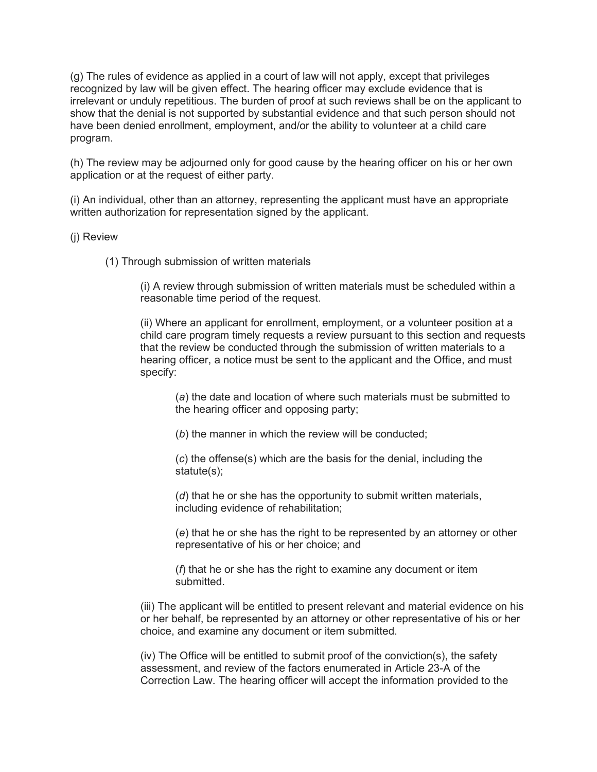(g) The rules of evidence as applied in a court of law will not apply, except that privileges recognized by law will be given effect. The hearing officer may exclude evidence that is irrelevant or unduly repetitious. The burden of proof at such reviews shall be on the applicant to show that the denial is not supported by substantial evidence and that such person should not have been denied enrollment, employment, and/or the ability to volunteer at a child care program.

(h) The review may be adjourned only for good cause by the hearing officer on his or her own application or at the request of either party.

(i) An individual, other than an attorney, representing the applicant must have an appropriate written authorization for representation signed by the applicant.

## (j) Review

(1) Through submission of written materials

(i) A review through submission of written materials must be scheduled within a reasonable time period of the request.

(ii) Where an applicant for enrollment, employment, or a volunteer position at a child care program timely requests a review pursuant to this section and requests that the review be conducted through the submission of written materials to a hearing officer, a notice must be sent to the applicant and the Office, and must specify:

(*a*) the date and location of where such materials must be submitted to the hearing officer and opposing party;

(*b*) the manner in which the review will be conducted;

(*c*) the offense(s) which are the basis for the denial, including the statute(s);

(*d*) that he or she has the opportunity to submit written materials, including evidence of rehabilitation;

(*e*) that he or she has the right to be represented by an attorney or other representative of his or her choice; and

(*f*) that he or she has the right to examine any document or item submitted.

(iii) The applicant will be entitled to present relevant and material evidence on his or her behalf, be represented by an attorney or other representative of his or her choice, and examine any document or item submitted.

(iv) The Office will be entitled to submit proof of the conviction(s), the safety assessment, and review of the factors enumerated in Article 23-A of the Correction Law. The hearing officer will accept the information provided to the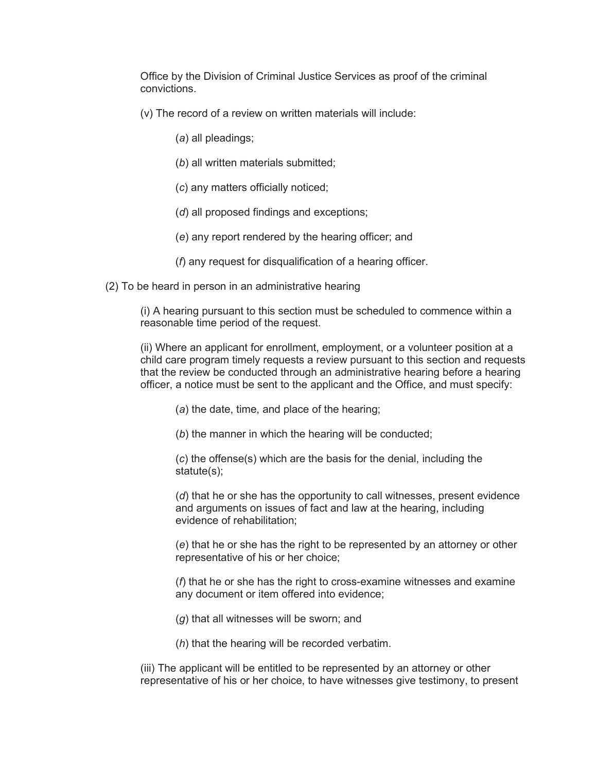Office by the Division of Criminal Justice Services as proof of the criminal convictions.

(v) The record of a review on written materials will include:

- (*a*) all pleadings;
- (*b*) all written materials submitted;
- (*c*) any matters officially noticed;
- (*d*) all proposed findings and exceptions;
- (*e*) any report rendered by the hearing officer; and
- (*f*) any request for disqualification of a hearing officer.

(2) To be heard in person in an administrative hearing

(i) A hearing pursuant to this section must be scheduled to commence within a reasonable time period of the request.

(ii) Where an applicant for enrollment, employment, or a volunteer position at a child care program timely requests a review pursuant to this section and requests that the review be conducted through an administrative hearing before a hearing officer, a notice must be sent to the applicant and the Office, and must specify:

(*a*) the date, time, and place of the hearing;

(*b*) the manner in which the hearing will be conducted;

(*c*) the offense(s) which are the basis for the denial, including the statute(s);

(*d*) that he or she has the opportunity to call witnesses, present evidence and arguments on issues of fact and law at the hearing, including evidence of rehabilitation;

(*e*) that he or she has the right to be represented by an attorney or other representative of his or her choice;

(*f*) that he or she has the right to cross-examine witnesses and examine any document or item offered into evidence;

- (*g*) that all witnesses will be sworn; and
- (*h*) that the hearing will be recorded verbatim.

(iii) The applicant will be entitled to be represented by an attorney or other representative of his or her choice, to have witnesses give testimony, to present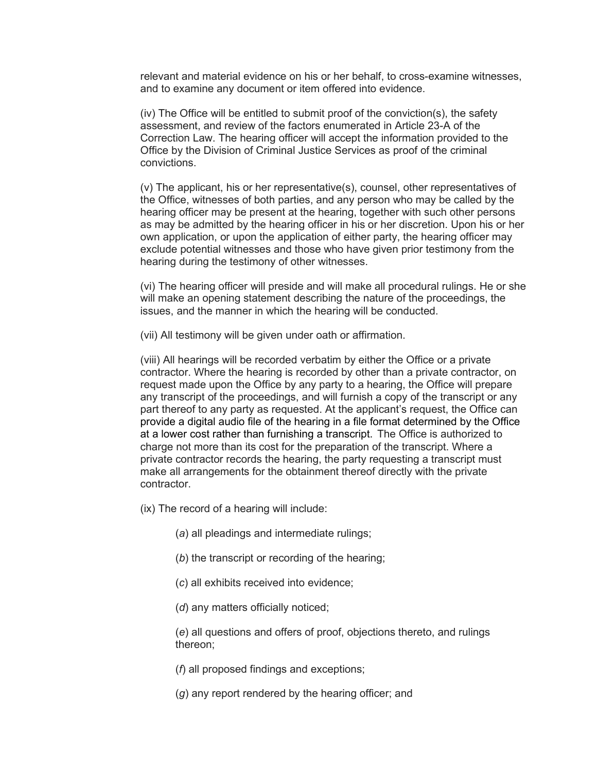relevant and material evidence on his or her behalf, to cross-examine witnesses, and to examine any document or item offered into evidence.

(iv) The Office will be entitled to submit proof of the conviction(s), the safety assessment, and review of the factors enumerated in Article 23-A of the Correction Law. The hearing officer will accept the information provided to the Office by the Division of Criminal Justice Services as proof of the criminal convictions.

(v) The applicant, his or her representative(s), counsel, other representatives of the Office, witnesses of both parties, and any person who may be called by the hearing officer may be present at the hearing, together with such other persons as may be admitted by the hearing officer in his or her discretion. Upon his or her own application, or upon the application of either party, the hearing officer may exclude potential witnesses and those who have given prior testimony from the hearing during the testimony of other witnesses.

(vi) The hearing officer will preside and will make all procedural rulings. He or she will make an opening statement describing the nature of the proceedings, the issues, and the manner in which the hearing will be conducted.

(vii) All testimony will be given under oath or affirmation.

(viii) All hearings will be recorded verbatim by either the Office or a private contractor. Where the hearing is recorded by other than a private contractor, on request made upon the Office by any party to a hearing, the Office will prepare any transcript of the proceedings, and will furnish a copy of the transcript or any part thereof to any party as requested. At the applicant's request, the Office can provide a digital audio file of the hearing in a file format determined by the Office at a lower cost rather than furnishing a transcript. The Office is authorized to charge not more than its cost for the preparation of the transcript. Where a private contractor records the hearing, the party requesting a transcript must make all arrangements for the obtainment thereof directly with the private contractor.

- (ix) The record of a hearing will include:
	- (*a*) all pleadings and intermediate rulings;
	- (*b*) the transcript or recording of the hearing;
	- (*c*) all exhibits received into evidence;
	- (*d*) any matters officially noticed;

(*e*) all questions and offers of proof, objections thereto, and rulings thereon;

(*f*) all proposed findings and exceptions;

(*g*) any report rendered by the hearing officer; and